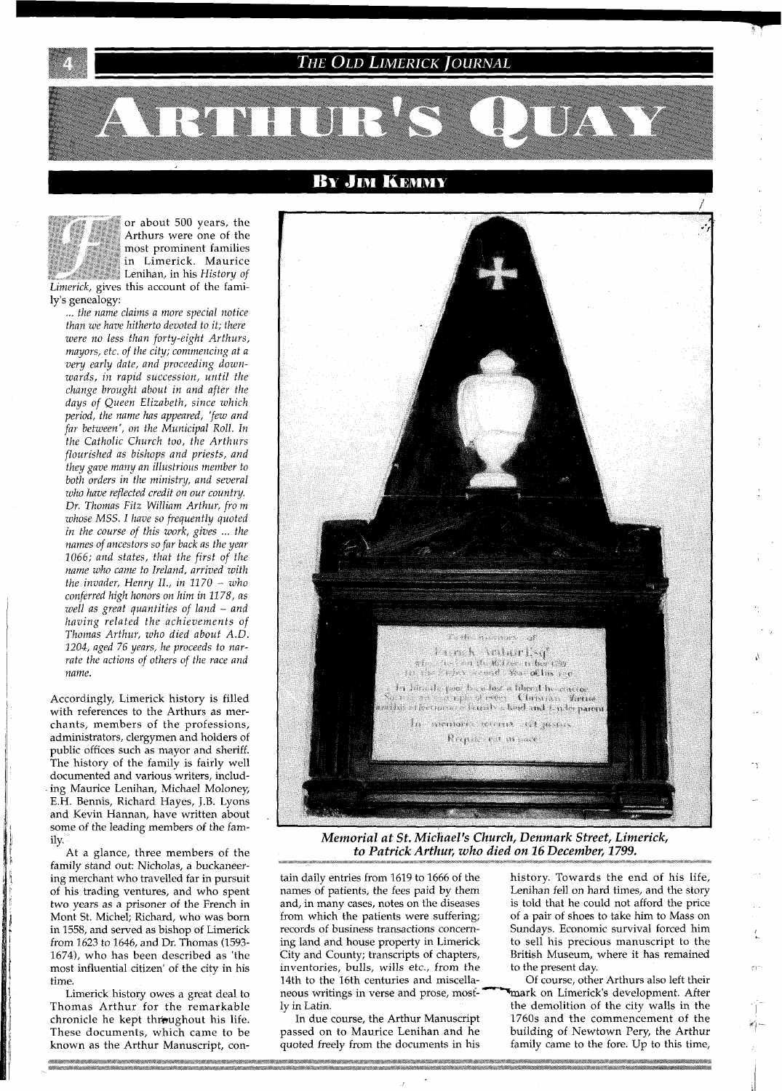**THE OLD LIMERICK JOURNAL** 

**BY JIM KEMMY** 

or about 500 years, the Arthurs were one of the most prominent families in Limerick. Maurice Lenihan, in his History of Limerick, gives this account of the family's genealogy:

AVROHUT

... the name claims a more special notice than we have hitherto devoted to it; there were no less than forty-eight Arthurs, mayors, etc. of the city; commencing at a very early date, and proceeding downwards, in rapid succession, until the change brought about in and after the days of Queen Elizabeth, since which period, the name has appeared, 'few and far between', on the Municipal Roll. In the Catholic Church too, the Arthurs flourished as bishops and priests, and they gave many an illustrious member to both orders in the ministry, and several who have reflected credit on our country. Dr. Thomas Fitz William Arthur, fro m whose MSS. I have so frequently quoted in the course of this work, gives ... the names of ancestors so far back as the year 1066; and states, that the first of the name who came to Ireland, arrived with the invader, Henry II., in  $1170 - who$ conferred high honors on him in 1178, as well as great quantities of land - and having related the achievements of Thomas Arthur, who died about A.D. 1204, aged 76 years, he proceeds to narrate the actions of others of the race and name.

Accordingly, Limerick history is filled with references to the Arthurs as merchants, members of the professions, administrators, clergymen and holders of public offices such as mayor and sheriff. The history of the family is fairly well documented and various writers, including Maurice Lenihan, Michael Moloney, E.H. Bennis, Richard Hayes, J.B. Lyons and Kevin Hannan, have written about some of the leading members of the family.

At a glance, three members of the family stand out: Nicholas, a buckaneering merchant who travelled far in pursuit of his trading ventures, and who spent two years as a prisoner of the French in Mont St. Michel; Richard, who was born in 1558, and served as bishop of Limerick from 1623 to 1646, and Dr. Thomas (1593-1674), who has been described as 'the most influential citizen' of the city in his time

Limerick history owes a great deal to Thomas Arthur for the remarkable chronicle he kept throughout his life. These documents, which came to be known as the Arthur Manuscript, con-



Memorial at St. Michael's Church, Denmark Street, Limerick, to Patrick Arthur, who died on 16 December, 1799.

tain daily entries from 1619 to 1666 of the names of patients, the fees paid by them and, in many cases, notes on the diseases from which the patients were suffering; records of business transactions concerning land and house property in Limerick City and County; transcripts of chapters, inventories, bulls, wills etc., from the 14th to the 16th centuries and miscellaneous writings in verse and prose, mostly in Latin.

In due course, the Arthur Manuscript passed on to Maurice Lenihan and he quoted freely from the documents in his

history. Towards the end of his life, Lenihan fell on hard times, and the story is told that he could not afford the price of a pair of shoes to take him to Mass on Sundays. Economic survival forced him to sell his precious manuscript to the British Museum, where it has remained to the present day.

**BEA 15 7** 

Of course, other Arthurs also left their mark on Limerick's development. After the demolition of the city walls in the 1760s and the commencement of the building of Newtown Pery, the Arthur family came to the fore. Up to this time,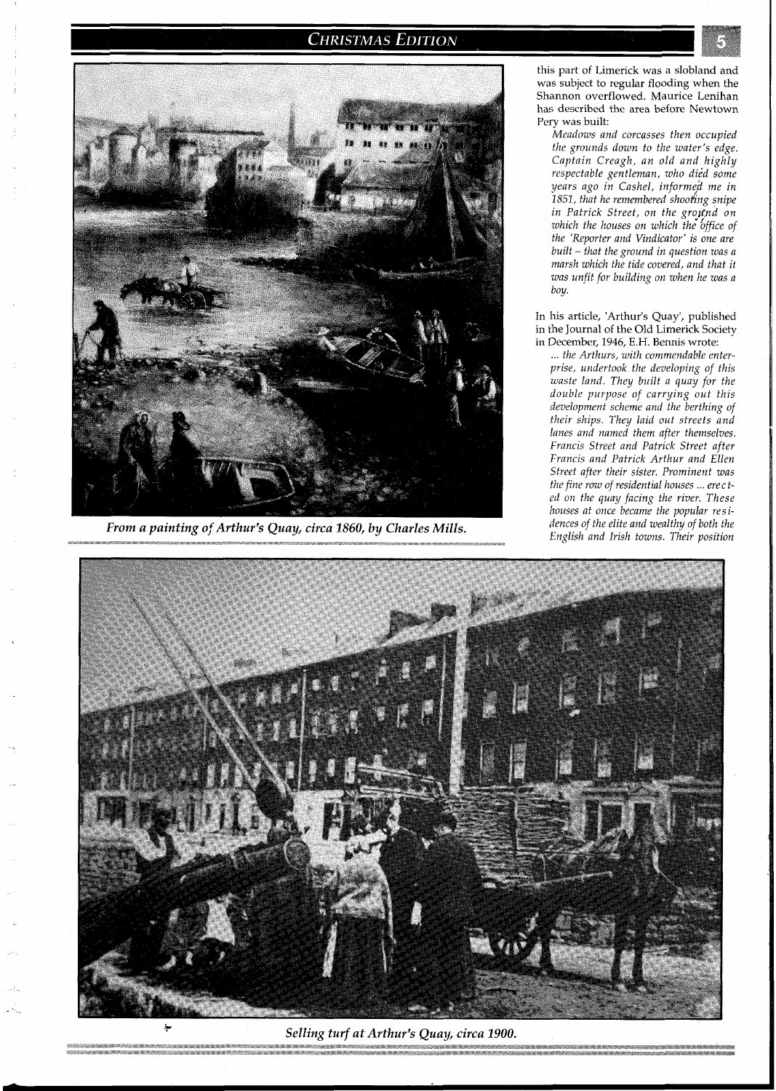# **CHRISTMAS EDITION**



*From a painting of Arthur's Quay, circa 1860, by Charles Mills.* 

this part of Limerick was a slobland and was subject to regular flooding when the Shannon overflowed. Maurice Lenihan has described the area before Newtown Pery was built:

*Meadows and corcgsses then occupied the grounds down to the water's edge. Captain Creagh, an old and highly respectable gentleman, who dijd some*   $years$  ago in Cashel, informed me in *1851, that he remembered shoofing snipe*  in Patrick Street, on the ground on *which the houses on which the office of the 'Reporter and Vindicator' is one are built* - *that the ground in question was a marsh which the tide covered, and that it was unfit for building on when he was a boy.* 

In his article, 'Arthur's Quay', published in the Journal of the Old Limerick Society in December, 1946, E.H. Bennis wrote:

**~~~~~~e~~m~~\w~hT~e~~~"~B~~~~w~~~~s"%s,e~<~\*~~A~~~aaw,w~~"e"~,,"<e,~e~~~~,~w,A~~~~~ ,w,~,w~~"~s~e;~~,~~A~~~v~~"~~~~~"e~~~~~~w~~"~:,~~A~A"\*~~\*~ ,\*W, ,w~w,~w,~a~<S\*<e<e,ve,~Y~~Bm~**  ... *the Arthurs, with commendable enterprise, undertook the developing of this waste land. They built a quay for the double purpose of carrying out this development scheme and the berthing of their ships. They laid out streets and lanes and named them after themselves. Francis Street and Patrick Street after Francis and Patrick Arthur and Ellen Street after their sister. Prominent was the fine row of residential houses* ... *erected on the quay facing the river. These houses at once became the popular residences of the elite and wealthy of both the English and Irish towns. Their position* 



Selling turf at Arthur's Quay, circa 1900.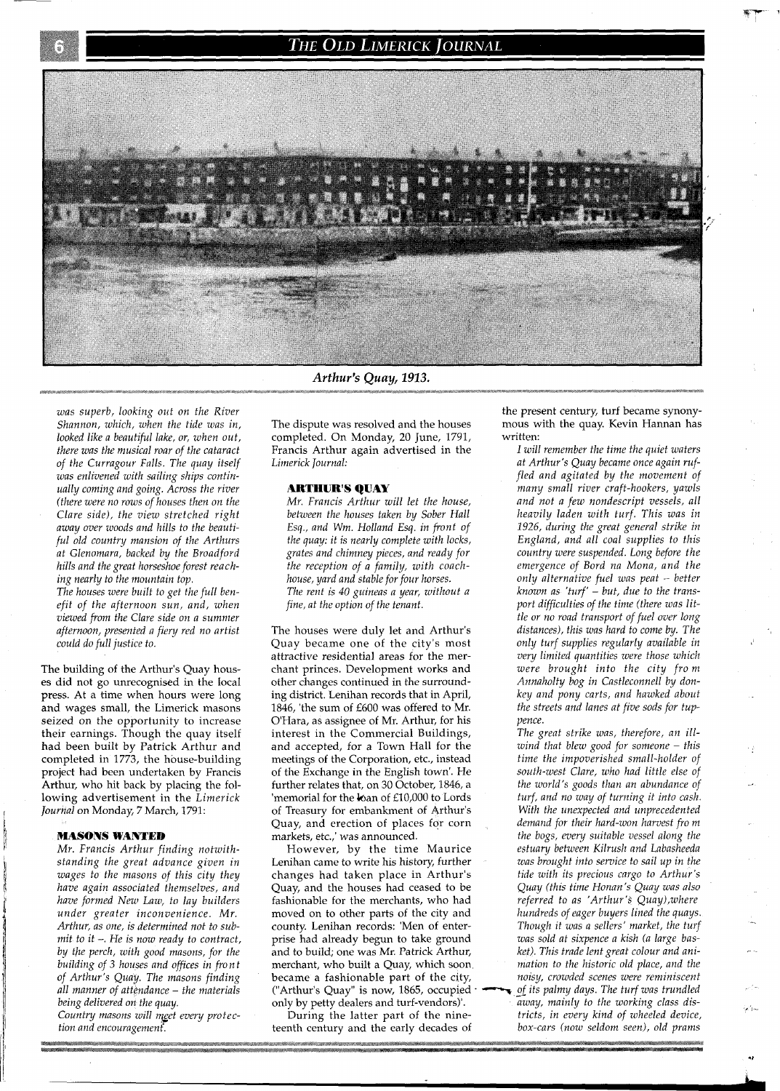## The Old Limerick Journal



Arthur's Quay, 1913.

*was superb, looking out on the River Shannon, which, when the tide was in, looked like a beautifil lake, or, when out, there was the musical roar of the cataract of the Curragour Falls. The quay itself was enlivened with sailing skips continually coming and going. Across the river (there were no rows of houses then on the Clare side), the view stretched right away over woods and hills to the beautiful old country mansion of the Arthurs at Glenomara, backed by the Broadford hills and the great horseshoe forest reaching nearly to the mountain top.* 

*The houses were built to get the full benefit of the afternoon sun, and, when viewed from the Clare side on a summer afternoon, presented a fiery red no artist could do full justice to.* 

The building of the Arthur's Quay houses did not go unrecognised in the local press. At a time when hours were long and wages small, the Limerick masons seized on the opportunity to increase their earnings. Though the quay itself had been built by Patrick Arthur and completed in 1773, the house-building project had been undertaken by Francis Arthur, who hit back by placing the following advertisement in the *Limerick Journal* on Monday, 7 March, 1791:

#### **MASONS WANTED**

*Mr. Francis Arthur finding notwithstanding the great advance given in wages to the masons of this city they have again associated themselves, and have formed Neui Laui, to lay builders under greater inconvenience. Mr.*  Arthur, as one, is determined not to sub*mit to it* -. *He rs now ready to contract, by the perch, with good masons, for the building of 3 houses and offices in front of Arthur's Quay. The masons finding all manner of attendance* - *the materials being delivered on the quay.*  Country masons will meet every protec-

*tion and encouragemenf.* 

The dispute was resolved and the houses completed. On Monday, 20 June, 1791, Francis Arthur again advertised in the *Limerick Journal:* 

### **ARTHUR'S QUAY**

*Mr. Francis Arthur will let the house, between the houses taken by Sober Hall Esq., and Wm. Holland Esq. in front of the quay: it is nearly complete with locks, grates and chimney pieces, and ready for the reception of a family, uiifh coachhouse, yard and stable for four horses. The rent is 40 guineas a year, witkout a fine, at the option of the tenant.* 

The houses were duly let and Arthur's Quay became one of the city's most attractive residential areas for the merchant princes. Development works and other changes continued in the surrounding district. Lenihan records that in April, 1846, 'the sum of £600 was offered to Mr. O'Hara, as assignee of Mr. Arthur, for his interest in the Commercial Buildings, and accepted, for a Town Hall for the meetings of the Corporation, etc., instead of the Exchange in the English town'. He further relates that, on 30 October, 1846, a 'memorial for the ban of £10,000 to Lords of Treasury for embankment of Arthur's Quay, and erection of places for corn markets, etc.,' was announced.

However, by the time Maurice Lenihan came to write his history, further changes had taken place in Arthur's Quay, and the houses had ceased to be fashionable for the merchants, who had moved on to other parts of the city and county. Lenihan records: 'Men of enterprise had already begun to take ground and to build; one was Mr. Patrick Arthur, merchant, who built a Quay, which soon became a fashionable part of the city, ("Arthur's Quay" is now, 1865, occupied only by petty dealers and turf-vendors)'.

During the latter part of the nineteenth century and the early decades of the present century, turf became synonymous with the quay. Kevin Hannan has written:

*I will remember the time the quiet waters at Arthur's Quay became once again ruffled and agitated by the movement of many small river craft-hookers, yawls and not a few nondescript vessels, all heavily laden with turf. This was in 1926, during the great general strike in England, and all coal supplies to this country were suspended. Long before fhe emergence of Bord nu Mona, and the only alternative fuel was peat* - *better known as 'turf'* - *but, due to the transport difficulties of the time (there was little or no road transport of fuel over long distances), this was hard to come by. The only turf supplies regularly available in very limited quantities were those which were brought into the city fro m Annaholty bog in Castleconnell by donkey and pony carts, and hawked about the streets and lanes at five sods for tuppence.* 

*The great strike was, therefore, an illwind that blew good for someone* - *this time the impoverished small-holder of south-west Clare, who had little else of the world's goods than an abundance of turf, and no way of turning it into cash. With the unexpected and unprecedented demand for their hard-won harvest fro m the bogs, every suitable vessel along the estuary between Kilrush and Labasheeda was brought into service to sail up in the tide with its precious cargo to Arthur's Quay (this tinre Honan's Quay was also referred to as 'Arthur's Quay),where hundreds of eager buyers lined the quays. Though it was a sellers' market, the turf was sold at sixpence a kish (a large basket). This trade lent great colour and ani-* . *mation to the historic old place, and the noisy, crowded scenes were reminiscent*  of its palmy days. The turf was trundled  $\widetilde{a}$ way, mainly to the working class dis-

*tricts, in every kind of wheeled device, box-cars (now seldom seen), old prams*